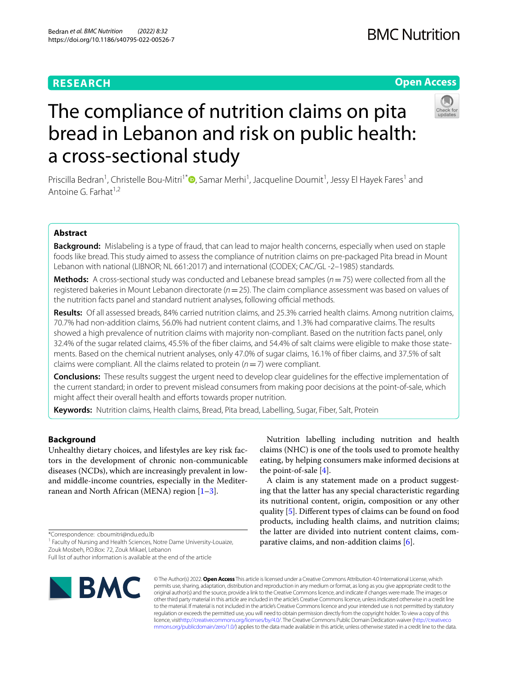## **RESEARCH**

## **BMC Nutrition**

## **Open Access**



# The compliance of nutrition claims on pita bread in Lebanon and risk on public health: a cross-sectional study

Priscilla Bedran<sup>1</sup>[,](http://orcid.org/0000-0003-4130-1726) Christelle Bou-Mitri<sup>1\*</sup> D, Samar Merhi<sup>1</sup>, Jacqueline Doumit<sup>1</sup>, Jessy El Hayek Fares<sup>1</sup> and Antoine G. Farhat<sup>1,2</sup>

## **Abstract**

**Background:** Mislabeling is a type of fraud, that can lead to major health concerns, especially when used on staple foods like bread. This study aimed to assess the compliance of nutrition claims on pre-packaged Pita bread in Mount Lebanon with national (LIBNOR; NL 661:2017) and international (CODEX; CAC/GL -2–1985) standards.

**Methods:** A cross-sectional study was conducted and Lebanese bread samples (*n*=75) were collected from all the registered bakeries in Mount Lebanon directorate (*n*=25). The claim compliance assessment was based on values of the nutrition facts panel and standard nutrient analyses, following official methods.

**Results:** Of all assessed breads, 84% carried nutrition claims, and 25.3% carried health claims. Among nutrition claims, 70.7% had non-addition claims, 56.0% had nutrient content claims, and 1.3% had comparative claims. The results showed a high prevalence of nutrition claims with majority non-compliant. Based on the nutrition facts panel, only 32.4% of the sugar related claims, 45.5% of the fber claims, and 54.4% of salt claims were eligible to make those state‑ ments. Based on the chemical nutrient analyses, only 47.0% of sugar claims, 16.1% of fber claims, and 37.5% of salt claims were compliant. All the claims related to protein (*n*=7) were compliant.

**Conclusions:** These results suggest the urgent need to develop clear guidelines for the efective implementation of the current standard; in order to prevent mislead consumers from making poor decisions at the point-of-sale, which might affect their overall health and efforts towards proper nutrition.

**Keywords:** Nutrition claims, Health claims, Bread, Pita bread, Labelling, Sugar, Fiber, Salt, Protein

## **Background**

Unhealthy dietary choices, and lifestyles are key risk factors in the development of chronic non-communicable diseases (NCDs), which are increasingly prevalent in lowand middle-income countries, especially in the Mediterranean and North African (MENA) region  $[1-3]$  $[1-3]$ .

\*Correspondence: cboumitri@ndu.edu.lb

<sup>1</sup> Faculty of Nursing and Health Sciences, Notre Dame University-Louaize, Zouk Mosbeh, P.O.Box: 72, Zouk Mikael, Lebanon

Full list of author information is available at the end of the article



Nutrition labelling including nutrition and health claims (NHC) is one of the tools used to promote healthy eating, by helping consumers make informed decisions at the point-of-sale [[4\]](#page-7-2).

A claim is any statement made on a product suggesting that the latter has any special characteristic regarding its nutritional content, origin, composition or any other quality [\[5](#page-7-3)]. Diferent types of claims can be found on food products, including health claims, and nutrition claims; the latter are divided into nutrient content claims, comparative claims, and non-addition claims [[6\]](#page-7-4).

© The Author(s) 2022. **Open Access** This article is licensed under a Creative Commons Attribution 4.0 International License, which permits use, sharing, adaptation, distribution and reproduction in any medium or format, as long as you give appropriate credit to the original author(s) and the source, provide a link to the Creative Commons licence, and indicate if changes were made. The images or other third party material in this article are included in the article's Creative Commons licence, unless indicated otherwise in a credit line to the material. If material is not included in the article's Creative Commons licence and your intended use is not permitted by statutory regulation or exceeds the permitted use, you will need to obtain permission directly from the copyright holder. To view a copy of this licence, visi[thttp://creativecommons.org/licenses/by/4.0/](http://creativecommons.org/licenses/by/4.0/). The Creative Commons Public Domain Dedication waiver [\(http://creativeco](http://creativecommons.org/publicdomain/zero/1.0/) [mmons.org/publicdomain/zero/1.0/](http://creativecommons.org/publicdomain/zero/1.0/)) applies to the data made available in this article, unless otherwise stated in a credit line to the data.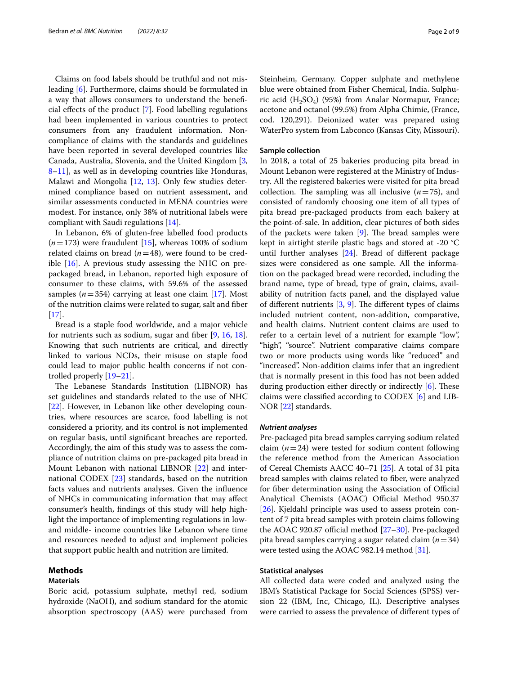Claims on food labels should be truthful and not misleading [\[6](#page-7-4)]. Furthermore, claims should be formulated in a way that allows consumers to understand the benefcial efects of the product [[7\]](#page-7-5). Food labelling regulations had been implemented in various countries to protect consumers from any fraudulent information. Noncompliance of claims with the standards and guidelines have been reported in several developed countries like Canada, Australia, Slovenia, and the United Kingdom [\[3](#page-7-1), [8–](#page-7-6)[11](#page-7-7)], as well as in developing countries like Honduras, Malawi and Mongolia [\[12,](#page-7-8) [13\]](#page-7-9). Only few studies determined compliance based on nutrient assessment, and similar assessments conducted in MENA countries were modest. For instance, only 38% of nutritional labels were compliant with Saudi regulations [[14\]](#page-7-10).

In Lebanon, 6% of gluten-free labelled food products  $(n=173)$  were fraudulent  $[15]$  $[15]$  $[15]$ , whereas 100% of sodium related claims on bread (*n*=48), were found to be credible  $[16]$  $[16]$ . A previous study assessing the NHC on prepackaged bread, in Lebanon, reported high exposure of consumer to these claims, with 59.6% of the assessed samples  $(n=354)$  carrying at least one claim [[17](#page-7-13)]. Most of the nutrition claims were related to sugar, salt and fber  $[17]$  $[17]$ .

Bread is a staple food worldwide, and a major vehicle for nutrients such as sodium, sugar and fber [[9,](#page-7-14) [16,](#page-7-12) [18](#page-7-15)]. Knowing that such nutrients are critical, and directly linked to various NCDs, their misuse on staple food could lead to major public health concerns if not controlled properly [\[19](#page-7-16)[–21\]](#page-7-17).

The Lebanese Standards Institution (LIBNOR) has set guidelines and standards related to the use of NHC [[22\]](#page-7-18). However, in Lebanon like other developing countries, where resources are scarce, food labelling is not considered a priority, and its control is not implemented on regular basis, until signifcant breaches are reported. Accordingly, the aim of this study was to assess the compliance of nutrition claims on pre-packaged pita bread in Mount Lebanon with national LIBNOR [[22](#page-7-18)] and international CODEX [\[23](#page-7-19)] standards, based on the nutrition facts values and nutrients analyses. Given the infuence of NHCs in communicating information that may afect consumer's health, fndings of this study will help highlight the importance of implementing regulations in lowand middle- income countries like Lebanon where time and resources needed to adjust and implement policies that support public health and nutrition are limited.

#### **Methods**

## **Materials**

Boric acid, potassium sulphate, methyl red, sodium hydroxide (NaOH), and sodium standard for the atomic absorption spectroscopy (AAS) were purchased from Steinheim, Germany. Copper sulphate and methylene blue were obtained from Fisher Chemical, India. Sulphuric acid  $(H_2SO_4)$  (95%) from Analar Normapur, France; acetone and octanol (99.5%) from Alpha Chimie, (France, cod. 120,291). Deionized water was prepared using WaterPro system from Labconco (Kansas City, Missouri).

## **Sample collection**

In 2018, a total of 25 bakeries producing pita bread in Mount Lebanon were registered at the Ministry of Industry. All the registered bakeries were visited for pita bread collection. The sampling was all inclusive  $(n=75)$ , and consisted of randomly choosing one item of all types of pita bread pre-packaged products from each bakery at the point-of-sale. In addition, clear pictures of both sides of the packets were taken  $[9]$  $[9]$ . The bread samples were kept in airtight sterile plastic bags and stored at -20 °C until further analyses [\[24](#page-7-20)]. Bread of diferent package sizes were considered as one sample. All the information on the packaged bread were recorded, including the brand name, type of bread, type of grain, claims, availability of nutrition facts panel, and the displayed value of different nutrients  $[3, 9]$  $[3, 9]$  $[3, 9]$  $[3, 9]$ . The different types of claims included nutrient content, non-addition, comparative, and health claims. Nutrient content claims are used to refer to a certain level of a nutrient for example "low", "high", "source". Nutrient comparative claims compare two or more products using words like "reduced" and "increased". Non-addition claims infer that an ingredient that is normally present in this food has not been added during production either directly or indirectly  $[6]$  $[6]$ . These claims were classifed according to CODEX [[6\]](#page-7-4) and LIB-NOR [[22\]](#page-7-18) standards.

#### *Nutrient analyses*

Pre-packaged pita bread samples carrying sodium related claim  $(n=24)$  were tested for sodium content following the reference method from the American Association of Cereal Chemists AACC 40–71 [\[25\]](#page-7-21). A total of 31 pita bread samples with claims related to fber, were analyzed for fiber determination using the Association of Official Analytical Chemists (AOAC) Official Method 950.37 [[26\]](#page-7-22). Kjeldahl principle was used to assess protein content of 7 pita bread samples with protein claims following the AOAC 920.87 official method  $[27-30]$  $[27-30]$ . Pre-packaged pita bread samples carrying a sugar related claim (*n*=34) were tested using the AOAC 982.14 method [[31\]](#page-7-25).

### **Statistical analyses**

All collected data were coded and analyzed using the IBM's Statistical Package for Social Sciences (SPSS) version 22 (IBM, Inc, Chicago, IL). Descriptive analyses were carried to assess the prevalence of diferent types of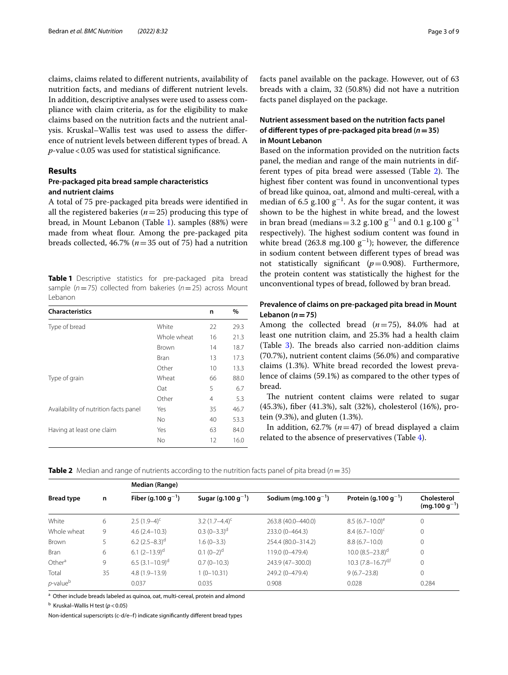claims, claims related to diferent nutrients, availability of nutrition facts, and medians of diferent nutrient levels. In addition, descriptive analyses were used to assess compliance with claim criteria, as for the eligibility to make claims based on the nutrition facts and the nutrient analysis. Kruskal–Wallis test was used to assess the diference of nutrient levels between diferent types of bread. A *p*-value<0.05 was used for statistical signifcance.

## **Results**

## **Pre‑packaged pita bread sample characteristics and nutrient claims**

A total of 75 pre-packaged pita breads were identifed in all the registered bakeries (*n*=25) producing this type of bread, in Mount Lebanon (Table [1](#page-2-0)). samples (88%) were made from wheat flour. Among the pre-packaged pita breads collected, 46.7% (*n*=35 out of 75) had a nutrition

<span id="page-2-0"></span>**Table 1** Descriptive statistics for pre-packaged pita bread sample (*n*=75) collected from bakeries (*n*=25) across Mount Lebanon

| <b>Characteristics</b>                |             | n  | %    |
|---------------------------------------|-------------|----|------|
| Type of bread                         | White       | 22 | 29.3 |
|                                       | Whole wheat | 16 | 21.3 |
|                                       | Brown       | 14 | 18.7 |
|                                       | Bran        | 13 | 17.3 |
|                                       | Other       | 10 | 13.3 |
| Type of grain                         | Wheat       | 66 | 88.0 |
|                                       | Oat         | 5  | 6.7  |
|                                       | Other       | 4  | 5.3  |
| Availability of nutrition facts panel | Yes         | 35 | 46.7 |
|                                       | No.         | 40 | 53.3 |
| Having at least one claim             | Yes         | 63 | 84.0 |
|                                       | No          | 12 | 16.0 |

facts panel available on the package. However, out of 63 breads with a claim, 32 (50.8%) did not have a nutrition facts panel displayed on the package.

## **Nutrient assessment based on the nutrition facts panel of diferent types of pre‑packaged pita bread (***n***=35) in Mount Lebanon**

Based on the information provided on the nutrition facts panel, the median and range of the main nutrients in dif-ferent types of pita bread were assessed (Table [2\)](#page-2-1). The highest fber content was found in unconventional types of bread like quinoa, oat, almond and multi-cereal, with a median of 6.5 g.100  $g^{-1}$ . As for the sugar content, it was shown to be the highest in white bread, and the lowest in bran bread (medians=3.2 g.100  $g^{-1}$  and 0.1 g.100  $g^{-1}$ respectively). The highest sodium content was found in white bread (263.8 mg.100  $g^{-1}$ ); however, the difference in sodium content between diferent types of bread was not statistically signifcant (*p*=0.908). Furthermore, the protein content was statistically the highest for the unconventional types of bread, followed by bran bread.

## **Prevalence of claims on pre‑packaged pita bread in Mount Lebanon (***n***=75)**

Among the collected bread (*n*=75), 84.0% had at least one nutrition claim, and 25.3% had a health claim (Table  $3$ ). The breads also carried non-addition claims (70.7%), nutrient content claims (56.0%) and comparative claims (1.3%). White bread recorded the lowest prevalence of claims (59.1%) as compared to the other types of bread.

The nutrient content claims were related to sugar (45.3%), fber (41.3%), salt (32%), cholesterol (16%), protein (9.3%), and gluten (1.3%).

In addition, 62.7%  $(n=47)$  of bread displayed a claim related to the absence of preservatives (Table [4\)](#page-3-1).

<span id="page-2-1"></span>**Table 2** Median and range of nutrients according to the nutrition facts panel of pita bread (*n*=35)

|                    |    | Median (Range)                  |                                 |                                   |                                  |                                  |  |  |  |
|--------------------|----|---------------------------------|---------------------------------|-----------------------------------|----------------------------------|----------------------------------|--|--|--|
| <b>Bread type</b>  | n  | Fiber (g. 100 g <sup>-1</sup> ) | Sugar (g. 100 g <sup>-1</sup> ) | Sodium (mg. 100 g <sup>-1</sup> ) | Protein (g.100 $q^{-1}$ )        | Cholesterol<br>$(mg.100 g^{-1})$ |  |  |  |
| White              | 6  | $2.5(1.9-4)^{c}$                | 3.2 $(1.7-4.4)^{c}$             | 263.8 (40.0-440.0)                | $8.5(6.7-10.0)^e$                | 0                                |  |  |  |
| Whole wheat        | 9  | $4.6(2.4 - 10.3)$               | $0.3(0-3.3)$ <sup>d</sup>       | 233.0 (0-464.3)                   | $8.4~(6.7-10.0)^c$               | $\mathbf{0}$                     |  |  |  |
| Brown              | 5  | 6.2 $(2.5-8.3)$ <sup>d</sup>    | $1.6(0-3.3)$                    | 254.4 (80.0-314.2)                | $8.8(6.7-10.0)$                  | 0                                |  |  |  |
| <b>Bran</b>        | 6  | 6.1 $(2-13.9)^d$                | $0.1 (0-2)^d$                   | 119.0 (0-479.4)                   | $10.0 (8.5 - 23.8)^d$            | 0                                |  |  |  |
| Other <sup>a</sup> | 9  | $6.5(3.1-10.9)$ <sup>d</sup>    | $0.7(0-10.3)$                   | 243.9 (47-300.0)                  | $10.3$ (7.8-16.7) <sup>d,f</sup> | 0                                |  |  |  |
| Total              | 35 | $4.8(1.9-13.9)$                 | $1(0-10.31)$                    | 249.2 (0-479.4)                   | $9(6.7 - 23.8)$                  | 0                                |  |  |  |
| $p$ -value $p$     |    | 0.037                           | 0.035                           | 0.908                             | 0.028                            | 0.284                            |  |  |  |

<sup>a</sup> Other include breads labeled as quinoa, oat, multi-cereal, protein and almond

b Kruskal–Wallis H test (*p*<0.05)

Non-identical superscripts (c-d/e–f) indicate signifcantly diferent bread types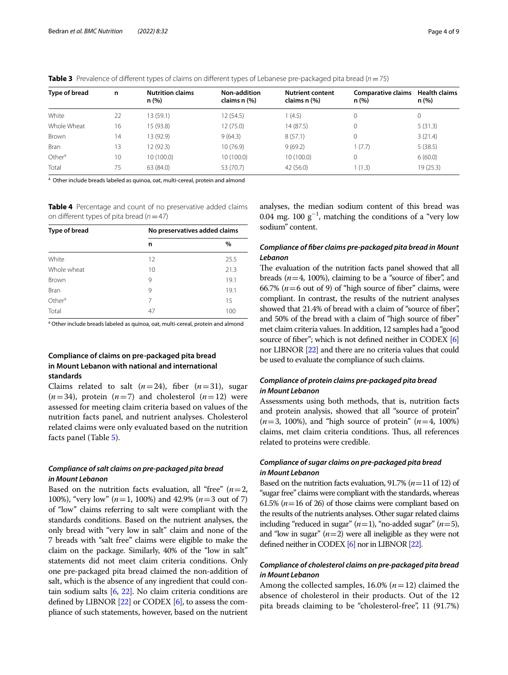<span id="page-3-0"></span>

|  | <b>Table 3</b> Prevalence of different types of claims on different types of Lebanese pre-packaged pita bread ( $n = 75$ ) |  |  |  |
|--|----------------------------------------------------------------------------------------------------------------------------|--|--|--|
|  |                                                                                                                            |  |  |  |

| Type of bread      | n  | <b>Nutrition claims</b><br>n(%) | Non-addition<br>claims n (%) | <b>Nutrient content</b><br>claims n (%) | <b>Comparative claims</b><br>n(%) | <b>Health claims</b><br>n (%) |
|--------------------|----|---------------------------------|------------------------------|-----------------------------------------|-----------------------------------|-------------------------------|
| White              | 22 | 13 (59.1)                       | 12 (54.5)                    | 1(4.5)                                  | 0                                 | 0                             |
| Whole Wheat        | 16 | 15 (93.8)                       | 12 (75.0)                    | 14 (87.5)                               |                                   | 5(31.3)                       |
| Brown              | 14 | 13 (92.9)                       | 9(64.3)                      | 8(57.1)                                 |                                   | 3(21.4)                       |
| <b>Bran</b>        | 13 | 12 (92.3)                       | 10(76.9)                     | 9(69.2)                                 | 1(7.7)                            | 5(38.5)                       |
| Other <sup>a</sup> | 10 | 10(100.0)                       | 10(100.0)                    | 10 (100.0)                              |                                   | 6(60.0)                       |
| Total              | 75 | 63 (84.0)                       | 53 (70.7)                    | 42 (56.0)                               | 1(1.3)                            | 19 (25.3)                     |

<sup>a</sup> Other include breads labeled as quinoa, oat, multi-cereal, protein and almond

<span id="page-3-1"></span>**Table 4** Percentage and count of no preservative added claims on diferent types of pita bread (*n*=47)

| Type of bread      | No preservatives added claims |      |  |  |
|--------------------|-------------------------------|------|--|--|
|                    | n                             | $\%$ |  |  |
| White              | 12                            | 25.5 |  |  |
| Whole wheat        | 10                            | 21.3 |  |  |
| Brown              | 9                             | 19.1 |  |  |
| Bran               | 9                             | 19.1 |  |  |
| Other <sup>a</sup> | 7                             | 15   |  |  |
| Total              | 47                            | 100  |  |  |

<sup>a</sup> Other include breads labeled as quinoa, oat, multi-cereal, protein and almond

## **Compliance of claims on pre‑packaged pita bread in Mount Lebanon with national and international standards**

Claims related to salt  $(n=24)$ , fiber  $(n=31)$ , sugar  $(n=34)$ , protein  $(n=7)$  and cholesterol  $(n=12)$  were assessed for meeting claim criteria based on values of the nutrition facts panel, and nutrient analyses. Cholesterol related claims were only evaluated based on the nutrition facts panel (Table [5](#page-4-0)).

## *Compliance of salt claims on pre‑packaged pita bread in Mount Lebanon*

Based on the nutrition facts evaluation, all "free"  $(n=2, 1)$ 100%), "very low" (*n*=1, 100%) and 42.9% (*n*=3 out of 7) of "low" claims referring to salt were compliant with the standards conditions. Based on the nutrient analyses, the only bread with "very low in salt" claim and none of the 7 breads with "salt free" claims were eligible to make the claim on the package. Similarly, 40% of the "low in salt" statements did not meet claim criteria conditions. Only one pre-packaged pita bread claimed the non-addition of salt, which is the absence of any ingredient that could contain sodium salts [\[6,](#page-7-4) [22](#page-7-18)]. No claim criteria conditions are defned by LIBNOR [\[22\]](#page-7-18) or CODEX [\[6\]](#page-7-4), to assess the compliance of such statements, however, based on the nutrient

analyses, the median sodium content of this bread was 0.04 mg. 100  $g^{-1}$ , matching the conditions of a "very low sodium" content.

## *Compliance of fber claims pre‑packaged pita bread in Mount Lebanon*

The evaluation of the nutrition facts panel showed that all breads  $(n=4, 100\%)$ , claiming to be a "source of fiber", and 66.7% ( $n=6$  out of 9) of "high source of fiber" claims, were compliant. In contrast, the results of the nutrient analyses showed that 21.4% of bread with a claim of "source of fber", and 50% of the bread with a claim of "high source of fber" met claim criteria values. In addition, 12 samples had a "good source of fiber"; which is not defined neither in CODEX [[6](#page-7-4)] nor LIBNOR [\[22\]](#page-7-18) and there are no criteria values that could be used to evaluate the compliance of such claims.

## *Compliance of protein claims pre‑packaged pita bread in Mount Lebanon*

Assessments using both methods, that is, nutrition facts and protein analysis, showed that all "source of protein" (*n*=3, 100%), and "high source of protein" (*n*=4, 100%) claims, met claim criteria conditions. Tus, all references related to proteins were credible.

## *Compliance of sugar claims on pre‑packaged pita bread in Mount Lebanon*

Based on the nutrition facts evaluation, 91.7% (*n*=11 of 12) of "sugar free" claims were compliant with the standards, whereas 61.5% ( $n=16$  of 26) of those claims were compliant based on the results of the nutrients analyses. Other sugar related claims including "reduced in sugar"  $(n=1)$ , "no-added sugar"  $(n=5)$ , and "low in sugar"  $(n=2)$  were all ineligible as they were not defned neither in CODEX [\[6](#page-7-4)] nor in LIBNOR [\[22](#page-7-18)].

## *Compliance of cholesterol claims on pre‑packaged pita bread in Mount Lebanon*

Among the collected samples, 16.0% (*n*=12) claimed the absence of cholesterol in their products. Out of the 12 pita breads claiming to be "cholesterol-free", 11 (91.7%)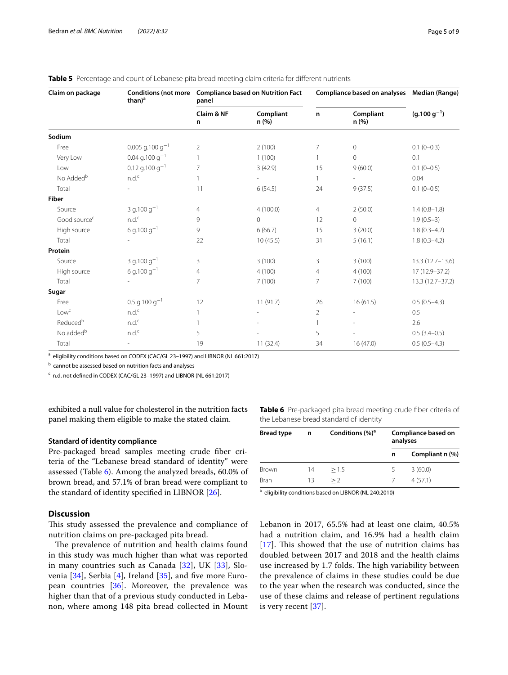| Claim on package         | than) <sup>a</sup>                   | Conditions (not more Compliance based on Nutrition Fact<br>panel |                   | Compliance based on analyses Median (Range) |                    |                     |
|--------------------------|--------------------------------------|------------------------------------------------------------------|-------------------|---------------------------------------------|--------------------|---------------------|
|                          |                                      | Claim & NF<br>n                                                  | Compliant<br>n(%) | n                                           | Compliant<br>n (%) | $(g.100 g^{-1})$    |
| Sodium                   |                                      |                                                                  |                   |                                             |                    |                     |
| Free                     | $0.005$ g.100 g <sup>-1</sup>        | $\overline{2}$                                                   | 2(100)            | 7                                           | $\circ$            | $0.1(0-0.3)$        |
| Very Low                 | $0.04$ g.100 g <sup>-1</sup>         | 1                                                                | 1(100)            |                                             | $\mathbf{0}$       | 0.1                 |
| Low                      | $0.12$ g.100 g <sup>-1</sup>         | $\overline{7}$                                                   | 3(42.9)           | 15                                          | 9(60.0)            | $0.1(0-0.5)$        |
| No Added <sup>b</sup>    | n.d. <sup>c</sup>                    |                                                                  |                   | $\mathbf{1}$                                |                    | 0.04                |
| Total                    |                                      | 11                                                               | 6(54.5)           | 24                                          | 9(37.5)            | $0.1(0-0.5)$        |
| <b>Fiber</b>             |                                      |                                                                  |                   |                                             |                    |                     |
| Source                   | 3 g.100 $g^{-1}$                     | $\overline{4}$                                                   | 4(100.0)          | $\overline{4}$                              | 2(50.0)            | $1.4(0.8-1.8)$      |
| Good source <sup>c</sup> | $n.d.^c$                             | 9                                                                | $\circ$           | 12                                          | $\mathbf 0$        | $1.9(0.5-3)$        |
| High source              | 6 g.100 $g^{-1}$                     | 9                                                                | 6(66.7)           | 15                                          | 3(20.0)            | $1.8(0.3-4.2)$      |
| Total                    |                                      | 22                                                               | 10(45.5)          | 31                                          | 5(16.1)            | $1.8(0.3-4.2)$      |
| Protein                  |                                      |                                                                  |                   |                                             |                    |                     |
| Source                   | 3 g.100 g <sup><math>-1</math></sup> | 3                                                                | 3(100)            | 3                                           | 3(100)             | $13.3(12.7 - 13.6)$ |
| High source              | 6 g.100 $q^{-1}$                     | $\overline{4}$                                                   | 4(100)            | $\overline{4}$                              | 4(100)             | $17(12.9 - 37.2)$   |
| Total                    |                                      | $\overline{7}$                                                   | 7(100)            | 7                                           | 7(100)             | 13.3 (12.7-37.2)    |
| Sugar                    |                                      |                                                                  |                   |                                             |                    |                     |
| Free                     | $0.5$ g.100 g <sup>-1</sup>          | 12                                                               | 11(91.7)          | 26                                          | 16(61.5)           | $0.5(0.5-4.3)$      |
| Lowc                     | n.d. <sup>c</sup>                    | 1                                                                |                   | $\overline{2}$                              |                    | 0.5                 |
| Reduced <sup>b</sup>     | $n.d.^c$                             |                                                                  |                   |                                             |                    | 2.6                 |
| No added <sup>b</sup>    | n.d. <sup>c</sup>                    | 5                                                                |                   | 5                                           |                    | $0.5(3.4-0.5)$      |
| Total                    |                                      | 19                                                               | 11(32.4)          | 34                                          | 16(47.0)           | $0.5(0.5-4.3)$      |

## <span id="page-4-0"></span>**Table 5** Percentage and count of Lebanese pita bread meeting claim criteria for different nutrients

<sup>a</sup> eligibility conditions based on CODEX (CAC/GL 23-1997) and LIBNOR (NL 661:2017)

<sup>b</sup> cannot be assessed based on nutrition facts and analyses

<sup>c</sup> n.d. not defined in CODEX (CAC/GL 23-1997) and LIBNOR (NL 661:2017)

exhibited a null value for cholesterol in the nutrition facts panel making them eligible to make the stated claim.

## **Standard of identity compliance**

Pre-packaged bread samples meeting crude fber criteria of the "Lebanese bread standard of identity" were assessed (Table [6](#page-4-1)). Among the analyzed breads, 60.0% of brown bread, and 57.1% of bran bread were compliant to the standard of identity specifed in LIBNOR [[26\]](#page-7-22).

## **Discussion**

This study assessed the prevalence and compliance of nutrition claims on pre-packaged pita bread.

The prevalence of nutrition and health claims found in this study was much higher than what was reported in many countries such as Canada [\[32\]](#page-7-26), UK [\[33](#page-7-27)], Slovenia [\[34](#page-7-28)], Serbia [[4\]](#page-7-2), Ireland [[35\]](#page-7-29), and fve more European countries [\[36](#page-7-30)]. Moreover, the prevalence was higher than that of a previous study conducted in Lebanon, where among 148 pita bread collected in Mount <span id="page-4-1"></span>**Table 6** Pre-packaged pita bread meeting crude fiber criteria of the Lebanese bread standard of identity

| <b>Bread type</b> | n  | Conditions $(\%)^a$ | Compliance based on<br>analyses |                 |  |
|-------------------|----|---------------------|---------------------------------|-----------------|--|
|                   |    |                     | n                               | Compliant n (%) |  |
| Brown             | 14 | >1.5                |                                 | 3(60.0)         |  |
| Bran              | 13 | >2                  |                                 | 4(57.1)         |  |

a eligibility conditions based on LIBNOR (NL 240:2010)

Lebanon in 2017, 65.5% had at least one claim, 40.5% had a nutrition claim, and 16.9% had a health claim [[17](#page-7-13)]. This showed that the use of nutrition claims has doubled between 2017 and 2018 and the health claims use increased by 1.7 folds. The high variability between the prevalence of claims in these studies could be due to the year when the research was conducted, since the use of these claims and release of pertinent regulations is very recent [[37\]](#page-7-31).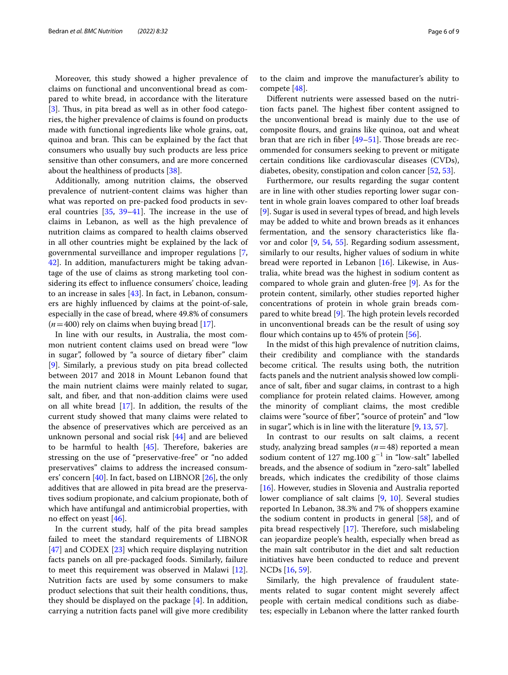Moreover, this study showed a higher prevalence of claims on functional and unconventional bread as compared to white bread, in accordance with the literature [[3\]](#page-7-1). Thus, in pita bread as well as in other food categories, the higher prevalence of claims is found on products made with functional ingredients like whole grains, oat, quinoa and bran. This can be explained by the fact that consumers who usually buy such products are less price sensitive than other consumers, and are more concerned about the healthiness of products [\[38](#page-7-32)].

Additionally, among nutrition claims, the observed prevalence of nutrient-content claims was higher than what was reported on pre-packed food products in several countries  $[35, 39-41]$  $[35, 39-41]$  $[35, 39-41]$  $[35, 39-41]$  $[35, 39-41]$ . The increase in the use of claims in Lebanon, as well as the high prevalence of nutrition claims as compared to health claims observed in all other countries might be explained by the lack of governmental surveillance and improper regulations [\[7](#page-7-5), [42\]](#page-8-1). In addition, manufacturers might be taking advantage of the use of claims as strong marketing tool considering its efect to infuence consumers' choice, leading to an increase in sales [\[43\]](#page-8-2). In fact, in Lebanon, consumers are highly infuenced by claims at the point-of-sale, especially in the case of bread, where 49.8% of consumers  $(n=400)$  rely on claims when buying bread [[17\]](#page-7-13).

In line with our results, in Australia, the most common nutrient content claims used on bread were "low in sugar", followed by "a source of dietary fber" claim [[9\]](#page-7-14). Similarly, a previous study on pita bread collected between 2017 and 2018 in Mount Lebanon found that the main nutrient claims were mainly related to sugar, salt, and fber, and that non-addition claims were used on all white bread [\[17\]](#page-7-13). In addition, the results of the current study showed that many claims were related to the absence of preservatives which are perceived as an unknown personal and social risk [\[44](#page-8-3)] and are believed to be harmful to health  $[45]$ . Therefore, bakeries are stressing on the use of "preservative-free" or "no added preservatives" claims to address the increased consumers' concern [\[40](#page-7-34)]. In fact, based on LIBNOR [\[26\]](#page-7-22), the only additives that are allowed in pita bread are the preservatives sodium propionate, and calcium propionate, both of which have antifungal and antimicrobial properties, with no efect on yeast [\[46](#page-8-5)].

In the current study, half of the pita bread samples failed to meet the standard requirements of LIBNOR [[47\]](#page-8-6) and CODEX [[23\]](#page-7-19) which require displaying nutrition facts panels on all pre-packaged foods. Similarly, failure to meet this requirement was observed in Malawi [\[12](#page-7-8)]. Nutrition facts are used by some consumers to make product selections that suit their health conditions, thus, they should be displayed on the package [\[4](#page-7-2)]. In addition, carrying a nutrition facts panel will give more credibility

to the claim and improve the manufacturer's ability to compete [\[48](#page-8-7)].

Diferent nutrients were assessed based on the nutrition facts panel. The highest fiber content assigned to the unconventional bread is mainly due to the use of composite fours, and grains like quinoa, oat and wheat bran that are rich in fiber  $[49-51]$  $[49-51]$ . Those breads are recommended for consumers seeking to prevent or mitigate certain conditions like cardiovascular diseases (CVDs), diabetes, obesity, constipation and colon cancer [\[52](#page-8-10), [53\]](#page-8-11).

Furthermore, our results regarding the sugar content are in line with other studies reporting lower sugar content in whole grain loaves compared to other loaf breads [[9\]](#page-7-14). Sugar is used in several types of bread, and high levels may be added to white and brown breads as it enhances fermentation, and the sensory characteristics like favor and color [\[9](#page-7-14), [54,](#page-8-12) [55](#page-8-13)]. Regarding sodium assessment, similarly to our results, higher values of sodium in white bread were reported in Lebanon [\[16](#page-7-12)]. Likewise, in Australia, white bread was the highest in sodium content as compared to whole grain and gluten-free [[9\]](#page-7-14). As for the protein content, similarly, other studies reported higher concentrations of protein in whole grain breads compared to white bread  $[9]$  $[9]$ . The high protein levels recorded in unconventional breads can be the result of using soy flour which contains up to  $45\%$  of protein  $[56]$  $[56]$ .

In the midst of this high prevalence of nutrition claims, their credibility and compliance with the standards become critical. The results using both, the nutrition facts panels and the nutrient analysis showed low compliance of salt, fber and sugar claims, in contrast to a high compliance for protein related claims. However, among the minority of compliant claims, the most credible claims were "source of fber", "source of protein" and "low in sugar", which is in line with the literature [\[9](#page-7-14), [13,](#page-7-9) [57](#page-8-15)].

In contrast to our results on salt claims, a recent study, analyzing bread samples (*n*=48) reported a mean sodium content of 127 mg.100  $g^{-1}$  in "low-salt" labelled breads, and the absence of sodium in "zero-salt" labelled breads, which indicates the credibility of those claims [[16\]](#page-7-12). However, studies in Slovenia and Australia reported lower compliance of salt claims [\[9,](#page-7-14) [10](#page-7-35)]. Several studies reported In Lebanon, 38.3% and 7% of shoppers examine the sodium content in products in general [\[58](#page-8-16)], and of pita bread respectively  $[17]$  $[17]$ . Therefore, such mislabeling can jeopardize people's health, especially when bread as the main salt contributor in the diet and salt reduction initiatives have been conducted to reduce and prevent NCDs [[16,](#page-7-12) [59](#page-8-17)].

Similarly, the high prevalence of fraudulent statements related to sugar content might severely afect people with certain medical conditions such as diabetes; especially in Lebanon where the latter ranked fourth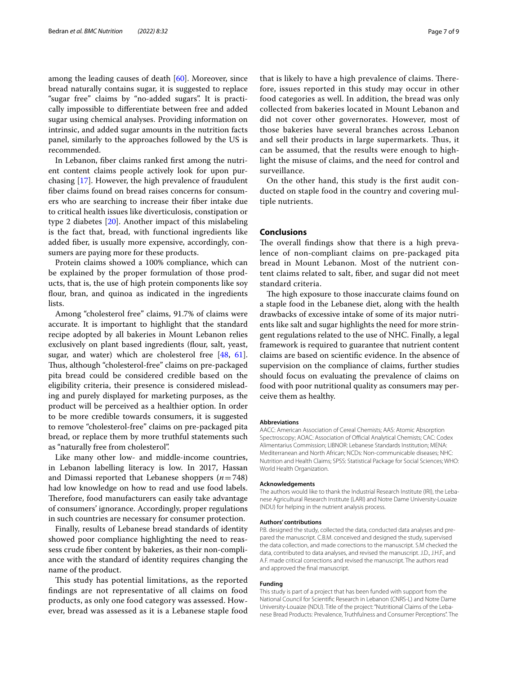among the leading causes of death [\[60](#page-8-18)]. Moreover, since bread naturally contains sugar, it is suggested to replace "sugar free" claims by "no-added sugars". It is practically impossible to diferentiate between free and added sugar using chemical analyses. Providing information on intrinsic, and added sugar amounts in the nutrition facts panel, similarly to the approaches followed by the US is recommended.

In Lebanon, fber claims ranked frst among the nutrient content claims people actively look for upon purchasing [[17\]](#page-7-13). However, the high prevalence of fraudulent fber claims found on bread raises concerns for consumers who are searching to increase their fber intake due to critical health issues like diverticulosis, constipation or type 2 diabetes [\[20](#page-7-36)]. Another impact of this mislabeling is the fact that, bread, with functional ingredients like added fber, is usually more expensive, accordingly, consumers are paying more for these products.

Protein claims showed a 100% compliance, which can be explained by the proper formulation of those products, that is, the use of high protein components like soy flour, bran, and quinoa as indicated in the ingredients lists.

Among "cholesterol free" claims, 91.7% of claims were accurate. It is important to highlight that the standard recipe adopted by all bakeries in Mount Lebanon relies exclusively on plant based ingredients (flour, salt, yeast, sugar, and water) which are cholesterol free [\[48,](#page-8-7) [61](#page-8-19)]. Thus, although "cholesterol-free" claims on pre-packaged pita bread could be considered credible based on the eligibility criteria, their presence is considered misleading and purely displayed for marketing purposes, as the product will be perceived as a healthier option. In order to be more credible towards consumers, it is suggested to remove "cholesterol-free" claims on pre-packaged pita bread, or replace them by more truthful statements such as "naturally free from cholesterol".

Like many other low- and middle-income countries, in Lebanon labelling literacy is low. In 2017, Hassan and Dimassi reported that Lebanese shoppers (*n*=748) had low knowledge on how to read and use food labels. Therefore, food manufacturers can easily take advantage of consumers' ignorance. Accordingly, proper regulations in such countries are necessary for consumer protection.

Finally, results of Lebanese bread standards of identity showed poor compliance highlighting the need to reassess crude fber content by bakeries, as their non-compliance with the standard of identity requires changing the name of the product.

This study has potential limitations, as the reported fndings are not representative of all claims on food products, as only one food category was assessed. However, bread was assessed as it is a Lebanese staple food

that is likely to have a high prevalence of claims. Therefore, issues reported in this study may occur in other food categories as well. In addition, the bread was only collected from bakeries located in Mount Lebanon and did not cover other governorates. However, most of those bakeries have several branches across Lebanon and sell their products in large supermarkets. Thus, it can be assumed, that the results were enough to highlight the misuse of claims, and the need for control and surveillance.

On the other hand, this study is the frst audit conducted on staple food in the country and covering multiple nutrients.

## **Conclusions**

The overall findings show that there is a high prevalence of non-compliant claims on pre-packaged pita bread in Mount Lebanon. Most of the nutrient content claims related to salt, fber, and sugar did not meet standard criteria.

The high exposure to those inaccurate claims found on a staple food in the Lebanese diet, along with the health drawbacks of excessive intake of some of its major nutrients like salt and sugar highlights the need for more stringent regulations related to the use of NHC. Finally, a legal framework is required to guarantee that nutrient content claims are based on scientifc evidence. In the absence of supervision on the compliance of claims, further studies should focus on evaluating the prevalence of claims on food with poor nutritional quality as consumers may perceive them as healthy.

#### **Abbreviations**

AACC: American Association of Cereal Chemists; AAS: Atomic Absorption Spectroscopy; AOAC: Association of Official Analytical Chemists; CAC: Codex Alimentarius Commission; LIBNOR: Lebanese Standards Institution; MENA: Mediterranean and North African; NCDs: Non-communicable diseases; NHC: Nutrition and Health Claims; SPSS: Statistical Package for Social Sciences; WHO: World Health Organization.

#### **Acknowledgements**

The authors would like to thank the Industrial Research Institute (IRI), the Lebanese Agricultural Research Institute (LARI) and Notre Dame University-Louaize (NDU) for helping in the nutrient analysis process.

#### **Authors' contributions**

P.B. designed the study, collected the data, conducted data analyses and prepared the manuscript. C.B.M. conceived and designed the study, supervised the data collection, and made corrections to the manuscript. S.M checked the data, contributed to data analyses, and revised the manuscript. J.D., J.H.F., and A.F. made critical corrections and revised the manuscript. The authors read and approved the fnal manuscript.

#### **Funding**

This study is part of a project that has been funded with support from the National Council for Scientifc Research in Lebanon (CNRS-L) and Notre Dame University-Louaize (NDU). Title of the project: "Nutritional Claims of the Leba‑ nese Bread Products: Prevalence, Truthfulness and Consumer Perceptions". The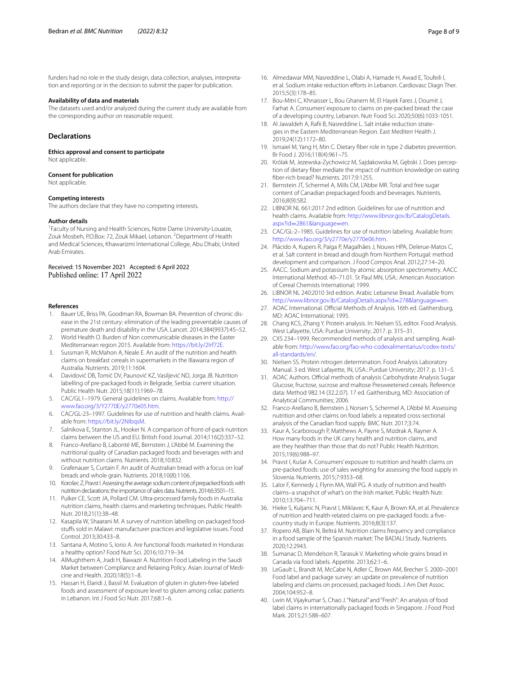funders had no role in the study design, data collection, analyses, interpretation and reporting or in the decision to submit the paper for publication.

#### **Availability of data and materials**

The datasets used and/or analyzed during the current study are available from the corresponding author on reasonable request.

## **Declarations**

**Ethics approval and consent to participate** Not applicable.

#### **Consent for publication**

Not applicable.

#### **Competing interests**

The authors declare that they have no competing interests.

#### **Author details**

<sup>1</sup> Faculty of Nursing and Health Sciences, Notre Dame University-Louaize, Zouk Mosbeh, P.O.Box: 72, Zouk Mikael, Lebanon. <sup>2</sup> Department of Health and Medical Sciences, Khawarizmi International College, Abu Dhabi, United Arab Emirates.

Received: 15 November 2021 Accepted: 6 April 2022

#### **References**

- <span id="page-7-0"></span>1. Bauer UE, Briss PA, Goodman RA, Bowman BA. Prevention of chronic dis‑ ease in the 21st century: elimination of the leading preventable causes of premature death and disability in the USA. Lancet. 2014;384(9937):45–52.
- 2. World Health O. Burden of Non communicable diseases in the Easter Mediterranean region 2015. Available from: <https://bit.ly/2Irf72E>.
- <span id="page-7-1"></span>3. Sussman R, McMahon A, Neale E. An audit of the nutrition and health claims on breakfast cereals in supermarkets in the IIIawarra region of Australia. Nutrients. 2019;11:1604.
- <span id="page-7-2"></span>4. Davidović DB, Tomić DV, Paunović KZ, Vasiljević ND, Jorga JB. Nutrition labelling of pre-packaged foods in Belgrade, Serbia: current situation. Public Health Nutr. 2015;18(11):1969–78.
- <span id="page-7-3"></span>5. CAC/GL1–1979. General guidelines on claims. Available from: [http://](http://www.fao.org/3/Y2770E/y2770e05.htm) [www.fao.org/3/Y2770E/y2770e05.htm.](http://www.fao.org/3/Y2770E/y2770e05.htm)
- <span id="page-7-4"></span>6. CAC/GL-23–1997. Guidelines for use of nutrition and health claims. Avail‑ able from:<https://bit.ly/2NIbqsM>.
- <span id="page-7-5"></span>7. Salnikova E, Stanton JL, Hooker N. A comparison of front-of-pack nutrition claims between the US and EU. British Food Journal. 2014;116(2):337–52.
- <span id="page-7-6"></span>8. Franco-Arellano B, Labonté ME, Bernstein J, L'Abbé M. Examining the nutritional quality of Canadian packaged foods and beverages with and without nutrition claims. Nutrients. 2018;10:832.
- <span id="page-7-14"></span>9. Grafenauer S, Curtain F. An audit of Australian bread with a focus on loaf breads and whole grain. Nutrients. 2018;10(8):1106.
- <span id="page-7-35"></span>10. Korošec Z, Pravst I. Assessing the average sodium content of prepacked foods with nutrition declarations: the importance of sales data. Nutrients. 2014;6:3501–15.
- <span id="page-7-7"></span>11. Pulker CE, Scott JA, Pollard CM. Ultra-processed family foods in Australia: nutrition claims, health claims and marketing techniques. Public Health Nutr. 2018;21(1):38–48.
- <span id="page-7-8"></span>12. Kasapila W, Shaarani M. A survey of nutrition labelling on packaged foodstufs sold in Malawi: manufacturer practices and legislative issues. Food Control. 2013;30:433–8.
- <span id="page-7-9"></span>13. Santana A, Motino S, Iorio A. Are functional foods marketed in Honduras a healthy option? Food Nutr Sci. 2016;10:719–34.
- <span id="page-7-10"></span>14. AlMughthem A, Jradi H, Bawazir A. Nutrition Food Labeling in the Saudi Market between Compliance and Relaxing Policy. Asian Journal of Medi‑ cine and Health. 2020;18(5):1–8.
- <span id="page-7-11"></span>15. Hassan H, Elaridi J, Bassil M. Evaluation of gluten in gluten-free-labeled foods and assessment of exposure level to gluten among celiac patients in Lebanon. Int J Food Sci Nutr. 2017;68:1–6.
- <span id="page-7-12"></span>16. Almedawar MM, Nasreddine L, Olabi A, Hamade H, Awad E, Toufeili I, et al. Sodium intake reduction efforts in Lebanon. Cardiovasc Diagn Ther. 2015;5(3):178–85.
- <span id="page-7-13"></span>17. Bou-Mitri C, Khnaisser L, Bou Ghanem M, El Hayek Fares J, Doumit J, Farhat A. Consumers' exposure to claims on pre-packed bread: the case of a developing country, Lebanon. Nutr Food Sci. 2020;50(6):1033-1051.
- <span id="page-7-15"></span>18. Al Jawaldeh A, Rafii B, Nasreddine L. Salt intake reduction strategies in the Eastern Mediterranean Region. East Mediterr Health J. 2019;24(12):1172–80.
- <span id="page-7-16"></span>19. Ismaiel M, Yang H, Min C. Dietary fber role in type 2 diabetes prevention. Br Food J. 2016;118(4):961–75.
- <span id="page-7-36"></span>20. Królak M, Jezewska-Zychowicz M, Sajdakowska M, Gębski J. Does perception of dietary fber mediate the impact of nutrition knowledge on eating fber-rich bread? Nutrients. 2017;9:1255.
- <span id="page-7-17"></span>21. Bernstein JT, Schermel A, Mills CM, L'Abbe MR. Total and free sugar content of Canadian prepackaged foods and beverages. Nutrients. 2016;8(9):582.
- <span id="page-7-18"></span>22. LIBNOR NL 661:2017 2nd edition. Guidelines for use of nutrition and health claims. Available from: [http://www.libnor.gov.lb/CatalogDetails.](http://www.libnor.gov.lb/CatalogDetails.aspx?id=2861&language=en) aspx?id=2861&language=en.
- <span id="page-7-19"></span>23. [CAC/GL-2–1985. Guidelines fo](http://www.libnor.gov.lb/CatalogDetails.aspx?id=2861&language=en)r use of nutrition labeling. Available from: <http://www.fao.org/3/y2770e/y2770e06.htm>.
- <span id="page-7-20"></span>24. Plácido A, Kupers R, Paíga P, Magalhães J, Nouws HPA, Delerue-Matos C, et al. Salt content in bread and dough from Northern Portugal: method development and comparison. J Food Compos Anal. 2012;27:14–20.
- <span id="page-7-21"></span>25. AACC. Sodium and potassium by atomic absorption spectrometry. AACC International Method. 40–71.01. St Paul MN, USA.: American Association of Cereal Chemists International; 1999.
- <span id="page-7-22"></span>26. LIBNOR NL 240:2010 3rd edition. Arabic Lebanese Bread. Available from: [http://www.libnor.gov.lb/CatalogDetails.aspx?id](http://www.libnor.gov.lb/CatalogDetails.aspx?id=278&language=en)=278&language=en.
- <span id="page-7-23"></span>27. AOAC International. Official Methods of Analysis. 16th ed. Gaithersburg, MD: AOAC International; 1995.
- 28. Chang KCS, Zhang Y. Protein analysis. In: Nielsen SS, editor. Food Analysis. West Lafayette, USA: Purdue University; 2017. p. 315–31.
- 29. CXS 234-1999. Recommended methods of analysis and sampling. Available from: [http://www.fao.org/fao-who-codexalimentarius/codex-texts/](http://www.fao.org/fao-who-codexalimentarius/codex-texts/all-standards/en/) [all-standards/en/](http://www.fao.org/fao-who-codexalimentarius/codex-texts/all-standards/en/).
- <span id="page-7-24"></span>30. Nielsen SS. Protein nitrogen determination. Food Analysis Laboratory Manual. 3 ed. West Lafayette, IN, USA.: Purdue University; 2017. p. 131–5.
- <span id="page-7-25"></span>31. AOAC Authors. Official methods of analysis Carbohydrate Analysis Sugar Glucose, fructose, sucrose and maltose Presweetened cereals. Reference data: Method 982.14 (32.2.07). 17 ed. Gaithersburg, MD: Association of Analytical Communities; 2006.
- <span id="page-7-26"></span>32. Franco-Arellano B, Bernstein J, Norsen S, Schermel A, L'Abbé M. Assessing nutrition and other claims on food labels: a repeated cross-sectional analysis of the Canadian food supply. BMC Nutr. 2017;3:74.
- <span id="page-7-27"></span>33. Kaur A, Scarborough P, Matthews A, Payne S, Mizdrak A, Rayner A. How many foods in the UK carry health and nutrition claims, and are they healthier than those that do not? Public Health Nutrition. 2015;19(6):988–97.
- <span id="page-7-28"></span>34. Pravst I, Kušar A. Consumers' exposure to nutrition and health claims on pre-packed foods: use of sales weighting for assessing the food supply in Slovenia. Nutrients. 2015;7:9353–68.
- <span id="page-7-29"></span>35. Lalor F, Kennedy J, Flynn MA, Wall PG. A study of nutrition and health claims–a snapshot of what's on the Irish market. Public Health Nutr. 2010;13:704–711.
- <span id="page-7-30"></span>36. Hieke S, Kuljanic N, Pravst I, Miklavec K, Kaur A, Brown KA, et al. Prevalence of nutrition and health-related claims on pre-packaged foods: a fvecountry study in Europe. Nutrients. 2016;8(3):137.
- <span id="page-7-31"></span>37. Ropero AB, Blain N, Beltrá M. Nutrition claims frequency and compliance in a food sample of the Spanish market: The BADALI Study. Nutrients. 2020;12:2943.
- <span id="page-7-32"></span>38. Sumanac D, Mendelson R, Tarasuk V. Marketing whole grains bread in Canada via food labels. Appetite. 2013;62:1–6.
- <span id="page-7-33"></span>39. LeGault L, Brandt M, McCabe N, Adler C, Brown AM, Brecher S. 2000–2001 Food label and package survey: an update on prevalence of nutrition labeling and claims on processed, packaged foods. J Am Diet Assoc. 2004;104:952–8.
- <span id="page-7-34"></span>40. Lwin M, Vijaykumar S, Chao J. "Natural" and "Fresh": An analysis of food label claims in internationally packaged foods in Singapore. J Food Prod Mark. 2015;21:588–607.